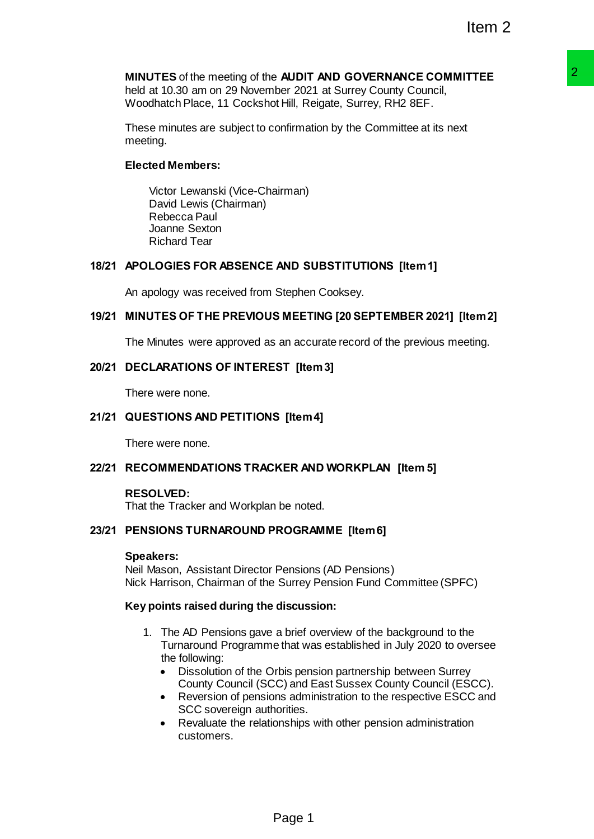### **MINUTES** of the meeting of the **AUDIT AND GOVERNANCE COMMITTEE** held at 10.30 am on 29 November 2021 at Surrey County Council,

Woodhatch Place, 11 Cockshot Hill, Reigate, Surrey, RH2 8EF.

These minutes are subject to confirmation by the Committee at its next meeting.

# **Elected Members:**

Victor Lewanski (Vice-Chairman) David Lewis (Chairman) Rebecca Paul Joanne Sexton Richard Tear

# **18/21 APOLOGIES FOR ABSENCE AND SUBSTITUTIONS [Item 1]**

An apology was received from Stephen Cooksey.

# **19/21 MINUTES OF THE PREVIOUS MEETING [20 SEPTEMBER 2021] [Item 2]**

The Minutes were approved as an accurate record of the previous meeting.

### **20/21 DECLARATIONS OF INTEREST [Item 3]**

There were none.

### **21/21 QUESTIONS AND PETITIONS [Item 4]**

There were none.

#### **22/21 RECOMMENDATIONS TRACKER AND WORKPLAN [Item 5]**

#### **RESOLVED:**

That the Tracker and Workplan be noted.

### **23/21 PENSIONS TURNAROUND PROGRAMME [Item 6]**

#### **Speakers:**

Neil Mason, Assistant Director Pensions (AD Pensions) Nick Harrison, Chairman of the Surrey Pension Fund Committee (SPFC)

#### **Key points raised during the discussion:**

- 1. The AD Pensions gave a brief overview of the background to the Turnaround Programme that was established in July 2020 to oversee the following: **a ADIT MAN GOVERNANCE COMMITTEE**<br> **PAGE 2021 at Surrey County Council,**<br> **Dee 2021 at Surrey County Council,**<br> **Page 1 2013 at Surrey County Council,**<br> **PAD SUBSTITUTIONS [Item 1]**<br> **Stephen Cooksey.**<br> **SMEETING [20 SEPTE** 
	- Dissolution of the Orbis pension partnership between Surrey County Council (SCC) and East Sussex County Council (ESCC).
	- Reversion of pensions administration to the respective ESCC and SCC sovereign authorities.
	- Revaluate the relationships with other pension administration customers.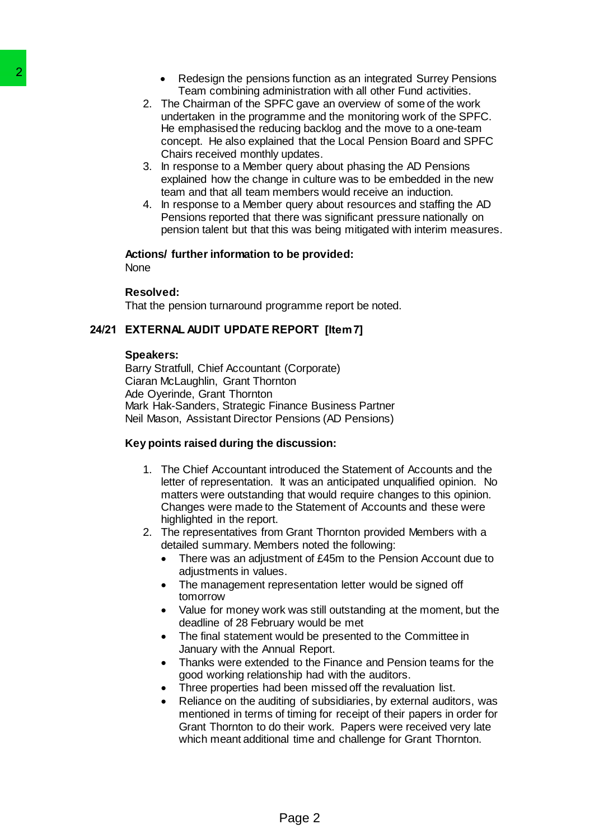- Redesign the pensions function as an integrated Surrey Pensions Team combining administration with all other Fund activities.
- 2. The Chairman of the SPFC gave an overview of some of the work undertaken in the programme and the monitoring work of the SPFC. He emphasised the reducing backlog and the move to a one-team concept. He also explained that the Local Pension Board and SPFC Chairs received monthly updates.
- 3. In response to a Member query about phasing the AD Pensions explained how the change in culture was to be embedded in the new team and that all team members would receive an induction.
- 4. In response to a Member query about resources and staffing the AD Pensions reported that there was significant pressure nationally on pension talent but that this was being mitigated with interim measures.

### **Actions/ further information to be provided:**

None

### **Resolved:**

That the pension turnaround programme report be noted.

### **24/21 EXTERNAL AUDIT UPDATE REPORT [Item 7]**

#### **Speakers:**

Barry Stratfull, Chief Accountant (Corporate) Ciaran McLaughlin, Grant Thornton Ade Oyerinde, Grant Thornton Mark Hak-Sanders, Strategic Finance Business Partner Neil Mason, Assistant Director Pensions (AD Pensions) **Redesim the persions functionally and the SPC gave a TRA Chairman of the SPC gave undertaked in the SPC gave undertaked in the program of the emphasized the concept. He also explained that Chairman concept. He also explai** 

### **Key points raised during the discussion:**

- 1. The Chief Accountant introduced the Statement of Accounts and the letter of representation. It was an anticipated unqualified opinion. No matters were outstanding that would require changes to this opinion. Changes were made to the Statement of Accounts and these were highlighted in the report.
- 2. The representatives from Grant Thornton provided Members with a detailed summary. Members noted the following:
	- There was an adjustment of £45m to the Pension Account due to adjustments in values.
	- The management representation letter would be signed off tomorrow
	- Value for money work was still outstanding at the moment, but the deadline of 28 February would be met
	- The final statement would be presented to the Committee in January with the Annual Report.
	- Thanks were extended to the Finance and Pension teams for the good working relationship had with the auditors.
	- Three properties had been missed off the revaluation list.
	- Reliance on the auditing of subsidiaries, by external auditors, was mentioned in terms of timing for receipt of their papers in order for Grant Thornton to do their work. Papers were received very late which meant additional time and challenge for Grant Thornton.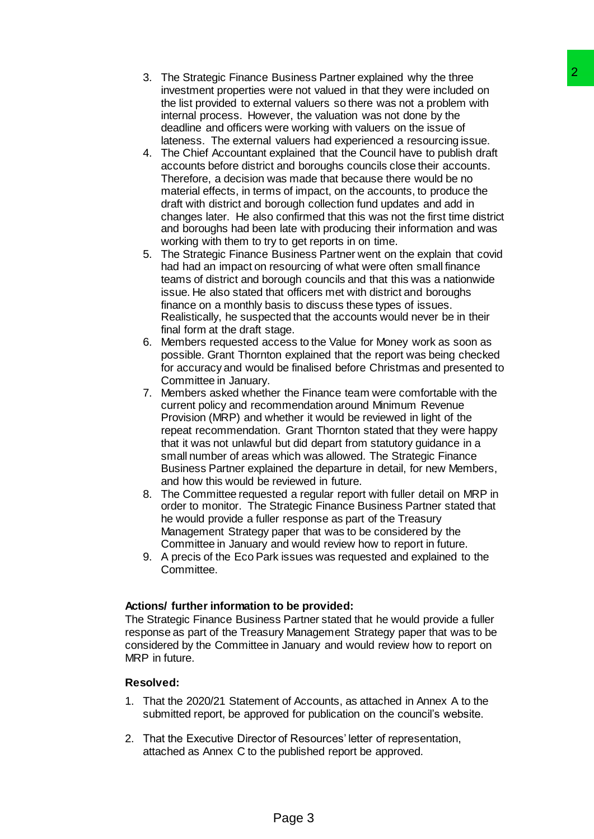- 3. The Strategic Finance Business Partner explained why the three investment properties were not valued in that they were included on the list provided to external valuers so there was not a problem with internal process. However, the valuation was not done by the deadline and officers were working with valuers on the issue of lateness. The external valuers had experienced a resourcing issue.
- 4. The Chief Accountant explained that the Council have to publish draft accounts before district and boroughs councils close their accounts. Therefore, a decision was made that because there would be no material effects, in terms of impact, on the accounts, to produce the draft with district and borough collection fund updates and add in changes later. He also confirmed that this was not the first time district and boroughs had been late with producing their information and was working with them to try to get reports in on time. Business Partner explained why the three<br>cele not valued in that they were included on<br>the not valued in that they were included on<br>and values so there was not a problem with<br>ever working with values on the issue of<br>values
- 5. The Strategic Finance Business Partner went on the explain that covid had had an impact on resourcing of what were often small finance teams of district and borough councils and that this was a nationwide issue. He also stated that officers met with district and boroughs finance on a monthly basis to discuss these types of issues. Realistically, he suspected that the accounts would never be in their final form at the draft stage.
- 6. Members requested access to the Value for Money work as soon as possible. Grant Thornton explained that the report was being checked for accuracy and would be finalised before Christmas and presented to Committee in January.
- 7. Members asked whether the Finance team were comfortable with the current policy and recommendation around Minimum Revenue Provision (MRP) and whether it would be reviewed in light of the repeat recommendation. Grant Thornton stated that they were happy that it was not unlawful but did depart from statutory guidance in a small number of areas which was allowed. The Strategic Finance Business Partner explained the departure in detail, for new Members, and how this would be reviewed in future.
- 8. The Committee requested a regular report with fuller detail on MRP in order to monitor. The Strategic Finance Business Partner stated that he would provide a fuller response as part of the Treasury Management Strategy paper that was to be considered by the Committee in January and would review how to report in future.
- 9. A precis of the Eco Park issues was requested and explained to the Committee.

### **Actions/ further information to be provided:**

The Strategic Finance Business Partner stated that he would provide a fuller response as part of the Treasury Management Strategy paper that was to be considered by the Committee in January and would review how to report on MRP in future.

### **Resolved:**

- 1. That the 2020/21 Statement of Accounts, as attached in Annex A to the submitted report, be approved for publication on the council's website.
- 2. That the Executive Director of Resources' letter of representation, attached as Annex C to the published report be approved.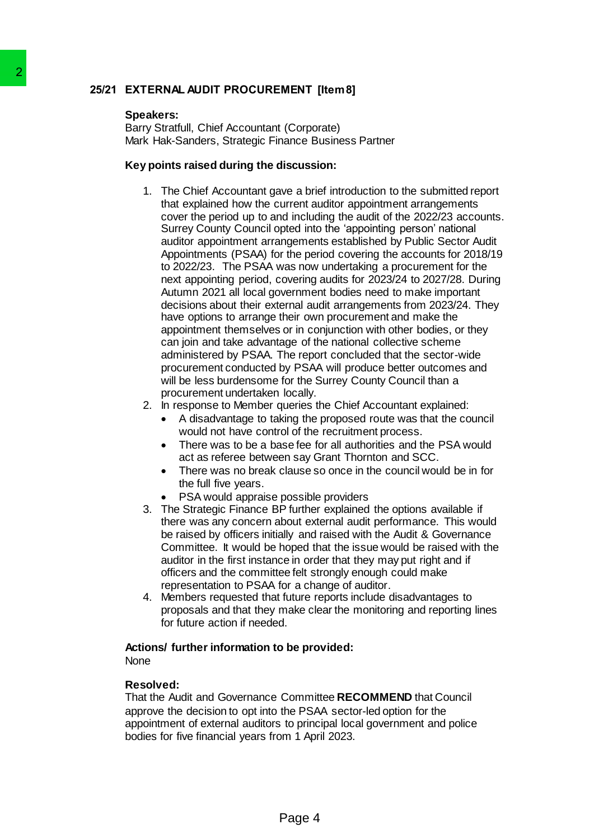# **25/21 EXTERNAL AUDIT PROCUREMENT [Item 8]**

### **Speakers:**

Barry Stratfull, Chief Accountant (Corporate) Mark Hak-Sanders, Strategic Finance Business Partner

### **Key points raised during the discussion:**

- 1. The Chief Accountant gave a brief introduction to the submitted report that explained how the current auditor appointment arrangements cover the period up to and including the audit of the 2022/23 accounts. Surrey County Council opted into the 'appointing person' national auditor appointment arrangements established by Public Sector Audit Appointments (PSAA) for the period covering the accounts for 2018/19 to 2022/23. The PSAA was now undertaking a procurement for the next appointing period, covering audits for 2023/24 to 2027/28. During Autumn 2021 all local government bodies need to make important decisions about their external audit arrangements from 2023/24. They have options to arrange their own procurement and make the appointment themselves or in conjunction with other bodies, or they can join and take advantage of the national collective scheme administered by PSAA. The report concluded that the sector-wide procurement conducted by PSAA will produce better outcomes and will be less burdensome for the Surrey County Council than a procurement undertaken locally. 2<br>
25/21 EXTERNAL AUDIT PROCUREMENT Speakers:<br>
Bary Strattlull, Chief Accountant (Corporation Mark Hat-Sanders, Strategic Finance B<br>
Key points raised during the discussi<br>
1. The Chief Accountant gave a birth that Walkingt
	- 2. In response to Member queries the Chief Accountant explained:
		- A disadvantage to taking the proposed route was that the council would not have control of the recruitment process.
		- There was to be a base fee for all authorities and the PSA would act as referee between say Grant Thornton and SCC.
		- There was no break clause so once in the council would be in for the full five years.
		- PSA would appraise possible providers
	- 3. The Strategic Finance BP further explained the options available if there was any concern about external audit performance. This would be raised by officers initially and raised with the Audit & Governance Committee. It would be hoped that the issue would be raised with the auditor in the first instance in order that they may put right and if officers and the committee felt strongly enough could make representation to PSAA for a change of auditor.
	- 4. Members requested that future reports include disadvantages to proposals and that they make clear the monitoring and reporting lines for future action if needed.

#### **Actions/ further information to be provided:** None

# **Resolved:**

That the Audit and Governance Committee **RECOMMEND** that Council approve the decision to opt into the PSAA sector-led option for the appointment of external auditors to principal local government and police bodies for five financial years from 1 April 2023.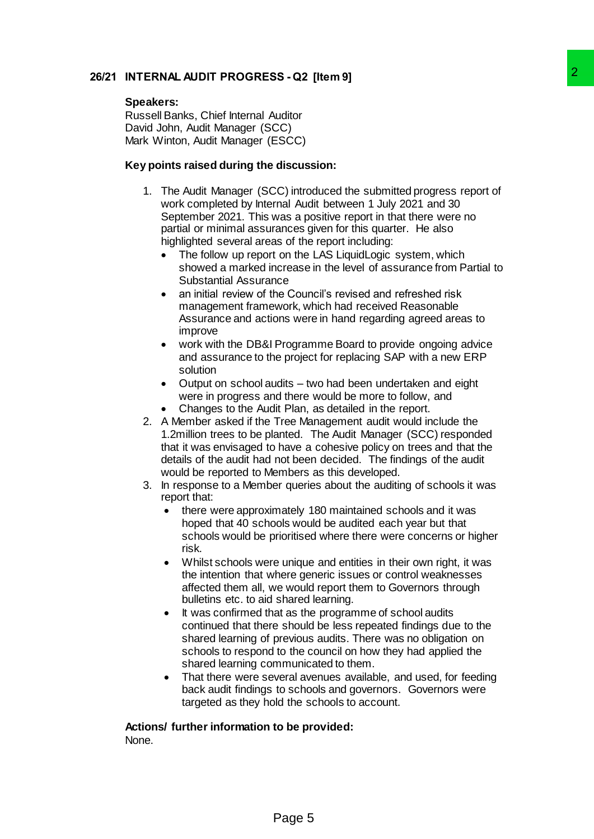# **26/21 INTERNAL AUDIT PROGRESS - Q2 [Item 9]**

#### **Speakers:**

Russell Banks, Chief Internal Auditor David John, Audit Manager (SCC) Mark Winton, Audit Manager (ESCC)

### **Key points raised during the discussion:**

- 1. The Audit Manager (SCC) introduced the submitted progress report of work completed by Internal Audit between 1 July 2021 and 30 September 2021. This was a positive report in that there were no partial or minimal assurances given for this quarter. He also highlighted several areas of the report including: 2<br>
SS - Q2 [Item 9]<br>
CC(introduced the submitted progress report of<br>
CC(introduced the submitted progress report of<br>
mal Audit between 1 July 2021 and 30<br>
was a positive report in that there were no<br>
mances given for this
	- The follow up report on the LAS LiquidLogic system, which showed a marked increase in the level of assurance from Partial to Substantial Assurance
	- an initial review of the Council's revised and refreshed risk management framework, which had received Reasonable Assurance and actions were in hand regarding agreed areas to improve
	- work with the DB&I Programme Board to provide ongoing advice and assurance to the project for replacing SAP with a new ERP solution
	- Output on school audits two had been undertaken and eight were in progress and there would be more to follow, and
	- Changes to the Audit Plan, as detailed in the report.
- 2. A Member asked if the Tree Management audit would include the 1.2million trees to be planted. The Audit Manager (SCC) responded that it was envisaged to have a cohesive policy on trees and that the details of the audit had not been decided. The findings of the audit would be reported to Members as this developed.
- 3. In response to a Member queries about the auditing of schools it was report that:
	- there were approximately 180 maintained schools and it was hoped that 40 schools would be audited each year but that schools would be prioritised where there were concerns or higher risk.
	- Whilst schools were unique and entities in their own right, it was the intention that where generic issues or control weaknesses affected them all, we would report them to Governors through bulletins etc. to aid shared learning.
	- It was confirmed that as the programme of school audits continued that there should be less repeated findings due to the shared learning of previous audits. There was no obligation on schools to respond to the council on how they had applied the shared learning communicated to them.
	- That there were several avenues available, and used, for feeding back audit findings to schools and governors. Governors were targeted as they hold the schools to account.

**Actions/ further information to be provided:** None.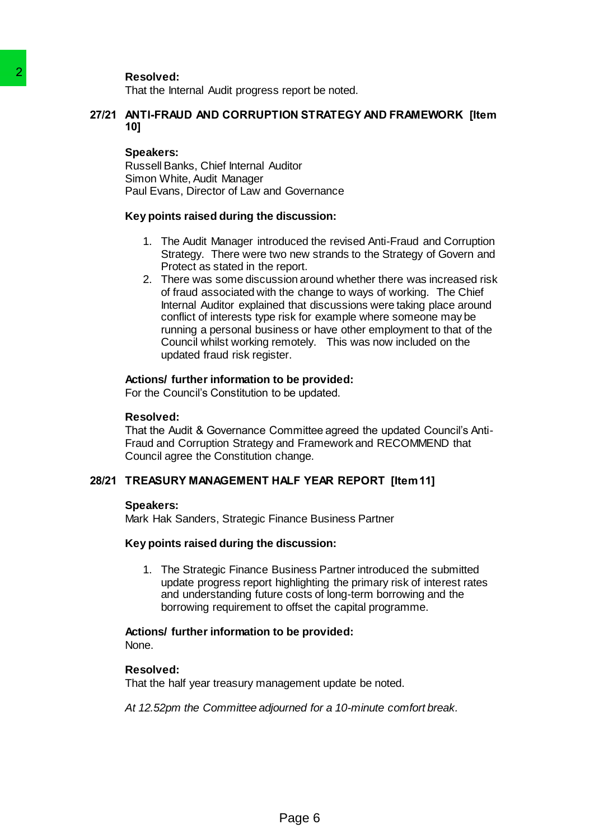**Resolved:**

That the Internal Audit progress report be noted.

### **27/21 ANTI-FRAUD AND CORRUPTION STRATEGY AND FRAMEWORK [Item 10]**

#### **Speakers:**

Russell Banks, Chief Internal Auditor Simon White, Audit Manager Paul Evans, Director of Law and Governance

#### **Key points raised during the discussion:**

- 1. The Audit Manager introduced the revised Anti-Fraud and Corruption Strategy. There were two new strands to the Strategy of Govern and Protect as stated in the report.
- 2. There was some discussion around whether there was increased risk of fraud associated with the change to ways of working. The Chief Internal Auditor explained that discussions were taking place around conflict of interests type risk for example where someone may be running a personal business or have other employment to that of the Council whilst working remotely. This was now included on the updated fraud risk register. Resolved:<br>
That the Internal Audit progress report b<br>
27/21 ANTI-FRAUD AND CORRUPTION STF<br>
10]<br>
Speakers:<br>
Russell Banks, Chief Internal Auditor<br>
Simon White, Auditi Manager introduced<br>
Payabout Evans, Director of Law and

#### **Actions/ further information to be provided:**

For the Council's Constitution to be updated.

#### **Resolved:**

That the Audit & Governance Committee agreed the updated Council's Anti-Fraud and Corruption Strategy and Framework and RECOMMEND that Council agree the Constitution change.

#### **28/21 TREASURY MANAGEMENT HALF YEAR REPORT [Item 11]**

#### **Speakers:**

Mark Hak Sanders, Strategic Finance Business Partner

#### **Key points raised during the discussion:**

1. The Strategic Finance Business Partner introduced the submitted update progress report highlighting the primary risk of interest rates and understanding future costs of long-term borrowing and the borrowing requirement to offset the capital programme.

#### **Actions/ further information to be provided:**

None.

### **Resolved:**

That the half year treasury management update be noted.

*At 12.52pm the Committee adjourned for a 10-minute comfort break.*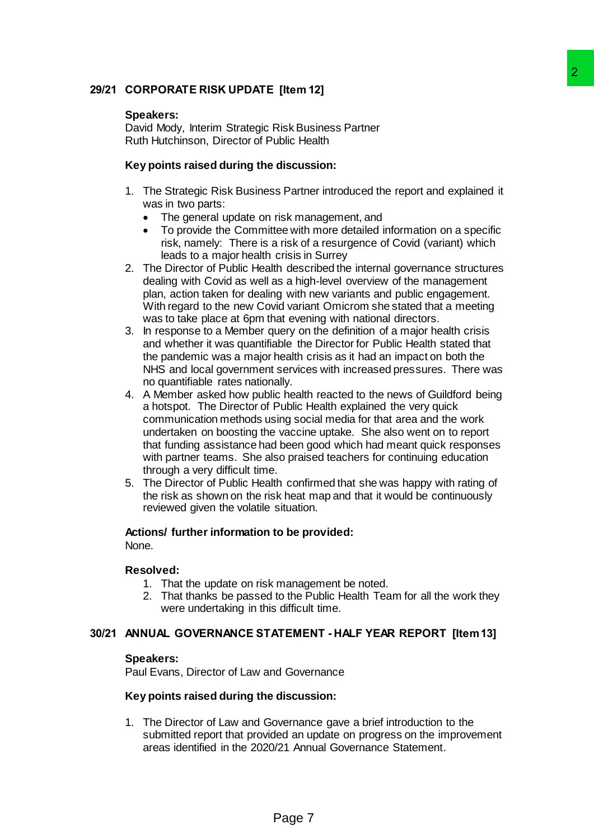# **29/21 CORPORATE RISK UPDATE [Item 12]**

### **Speakers:**

David Mody, Interim Strategic Risk Business Partner Ruth Hutchinson, Director of Public Health

### **Key points raised during the discussion:**

- 1. The Strategic Risk Business Partner introduced the report and explained it was in two parts:
	- The general update on risk management, and
	- To provide the Committee with more detailed information on a specific risk, namely: There is a risk of a resurgence of Covid (variant) which leads to a major health crisis in Surrey
- 2. The Director of Public Health described the internal governance structures dealing with Covid as well as a high-level overview of the management plan, action taken for dealing with new variants and public engagement. With regard to the new Covid variant Omicrom she stated that a meeting was to take place at 6pm that evening with national directors.
- 3. In response to a Member query on the definition of a major health crisis and whether it was quantifiable the Director for Public Health stated that the pandemic was a major health crisis as it had an impact on both the NHS and local government services with increased pressures. There was no quantifiable rates nationally.
- 4. A Member asked how public health reacted to the news of Guildford being a hotspot. The Director of Public Health explained the very quick communication methods using social media for that area and the work undertaken on boosting the vaccine uptake. She also went on to report that funding assistance had been good which had meant quick responses with partner teams. She also praised teachers for continuing education through a very difficult time. **Example 12**<br> **Example 12**<br> **Risk Business Partner**<br> **Exist Business Partner**<br> **Cholic Health**<br> **discussion:**<br> **Since 2**<br> **Exist The more detailed information on a specific energy of Covid (variant)** which<br>
tries in Surrey
- 5. The Director of Public Health confirmed that she was happy with rating of the risk as shown on the risk heat map and that it would be continuously reviewed given the volatile situation.

# **Actions/ further information to be provided:**

None.

#### **Resolved:**

- 1. That the update on risk management be noted.
- 2. That thanks be passed to the Public Health Team for all the work they were undertaking in this difficult time.

### **30/21 ANNUAL GOVERNANCE STATEMENT - HALF YEAR REPORT [Item 13]**

#### **Speakers:**

Paul Evans, Director of Law and Governance

#### **Key points raised during the discussion:**

1. The Director of Law and Governance gave a brief introduction to the submitted report that provided an update on progress on the improvement areas identified in the 2020/21 Annual Governance Statement.